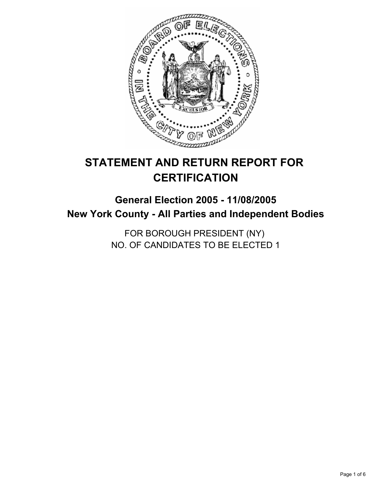

# **STATEMENT AND RETURN REPORT FOR CERTIFICATION**

# **General Election 2005 - 11/08/2005 New York County - All Parties and Independent Bodies**

FOR BOROUGH PRESIDENT (NY) NO. OF CANDIDATES TO BE ELECTED 1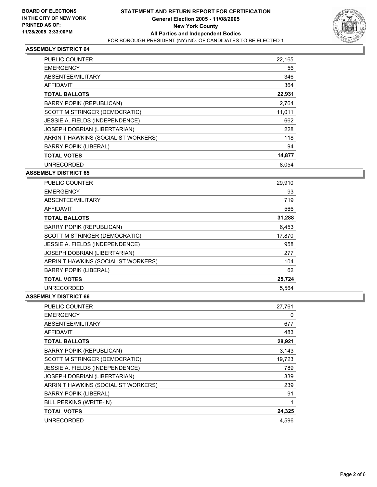

| <b>PUBLIC COUNTER</b>               | 22,165 |
|-------------------------------------|--------|
| <b>EMERGENCY</b>                    | 56     |
| ABSENTEE/MILITARY                   | 346    |
| <b>AFFIDAVIT</b>                    | 364    |
| <b>TOTAL BALLOTS</b>                | 22,931 |
| <b>BARRY POPIK (REPUBLICAN)</b>     | 2,764  |
| SCOTT M STRINGER (DEMOCRATIC)       | 11,011 |
| JESSIE A. FIELDS (INDEPENDENCE)     | 662    |
| <b>JOSEPH DOBRIAN (LIBERTARIAN)</b> | 228    |
| ARRIN T HAWKINS (SOCIALIST WORKERS) | 118    |
| <b>BARRY POPIK (LIBERAL)</b>        | 94     |
| <b>TOTAL VOTES</b>                  | 14,877 |
| <b>UNRECORDED</b>                   | 8.054  |

#### **ASSEMBLY DISTRICT 65**

| <b>PUBLIC COUNTER</b>               | 29,910 |  |
|-------------------------------------|--------|--|
| <b>EMERGENCY</b>                    | 93     |  |
| ABSENTEE/MILITARY                   | 719    |  |
| AFFIDAVIT                           | 566    |  |
| <b>TOTAL BALLOTS</b>                | 31,288 |  |
| <b>BARRY POPIK (REPUBLICAN)</b>     | 6,453  |  |
| SCOTT M STRINGER (DEMOCRATIC)       | 17,870 |  |
| JESSIE A. FIELDS (INDEPENDENCE)     | 958    |  |
| <b>JOSEPH DOBRIAN (LIBERTARIAN)</b> | 277    |  |
| ARRIN T HAWKINS (SOCIALIST WORKERS) | 104    |  |
| <b>BARRY POPIK (LIBERAL)</b>        | 62     |  |
| <b>TOTAL VOTES</b>                  | 25,724 |  |
| <b>UNRECORDED</b>                   | 5.564  |  |

| PUBLIC COUNTER                      | 27,761 |
|-------------------------------------|--------|
| <b>EMERGENCY</b>                    | 0      |
| ABSENTEE/MILITARY                   | 677    |
| AFFIDAVIT                           | 483    |
| <b>TOTAL BALLOTS</b>                | 28,921 |
| <b>BARRY POPIK (REPUBLICAN)</b>     | 3,143  |
| SCOTT M STRINGER (DEMOCRATIC)       | 19,723 |
| JESSIE A. FIELDS (INDEPENDENCE)     | 789    |
| JOSEPH DOBRIAN (LIBERTARIAN)        | 339    |
| ARRIN T HAWKINS (SOCIALIST WORKERS) | 239    |
| <b>BARRY POPIK (LIBERAL)</b>        | 91     |
| BILL PERKINS (WRITE-IN)             |        |
| <b>TOTAL VOTES</b>                  | 24,325 |
| <b>UNRECORDED</b>                   | 4,596  |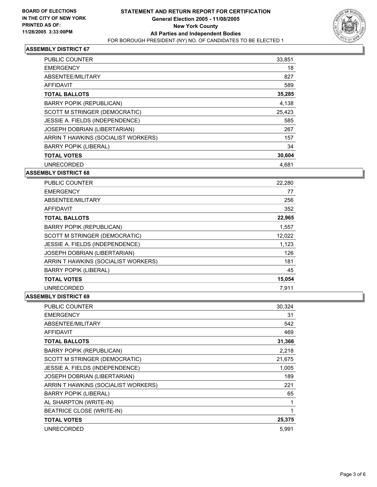

| <b>PUBLIC COUNTER</b>               | 33,851 |
|-------------------------------------|--------|
| <b>EMERGENCY</b>                    | 18     |
| ABSENTEE/MILITARY                   | 827    |
| <b>AFFIDAVIT</b>                    | 589    |
| <b>TOTAL BALLOTS</b>                | 35,285 |
| <b>BARRY POPIK (REPUBLICAN)</b>     | 4,138  |
| SCOTT M STRINGER (DEMOCRATIC)       | 25,423 |
| JESSIE A. FIELDS (INDEPENDENCE)     | 585    |
| <b>JOSEPH DOBRIAN (LIBERTARIAN)</b> | 267    |
| ARRIN T HAWKINS (SOCIALIST WORKERS) | 157    |
| <b>BARRY POPIK (LIBERAL)</b>        | 34     |
| <b>TOTAL VOTES</b>                  | 30,604 |
| <b>UNRECORDED</b>                   | 4.681  |

#### **ASSEMBLY DISTRICT 68**

| <b>PUBLIC COUNTER</b>               | 22,280 |
|-------------------------------------|--------|
| <b>EMERGENCY</b>                    | 77     |
| ABSENTEE/MILITARY                   | 256    |
| AFFIDAVIT                           | 352    |
| <b>TOTAL BALLOTS</b>                | 22,965 |
| <b>BARRY POPIK (REPUBLICAN)</b>     | 1,557  |
| SCOTT M STRINGER (DEMOCRATIC)       | 12,022 |
| JESSIE A. FIELDS (INDEPENDENCE)     | 1,123  |
| JOSEPH DOBRIAN (LIBERTARIAN)        | 126    |
| ARRIN T HAWKINS (SOCIALIST WORKERS) | 181    |
| <b>BARRY POPIK (LIBERAL)</b>        | 45     |
| <b>TOTAL VOTES</b>                  | 15,054 |
| <b>UNRECORDED</b>                   | 7,911  |

| PUBLIC COUNTER                      | 30,324 |
|-------------------------------------|--------|
| <b>EMERGENCY</b>                    | 31     |
| ABSENTEE/MILITARY                   | 542    |
| <b>AFFIDAVIT</b>                    | 469    |
| <b>TOTAL BALLOTS</b>                | 31,366 |
| <b>BARRY POPIK (REPUBLICAN)</b>     | 2,218  |
| SCOTT M STRINGER (DEMOCRATIC)       | 21,675 |
| JESSIE A. FIELDS (INDEPENDENCE)     | 1,005  |
| JOSEPH DOBRIAN (LIBERTARIAN)        | 189    |
| ARRIN T HAWKINS (SOCIALIST WORKERS) | 221    |
| <b>BARRY POPIK (LIBERAL)</b>        | 65     |
| AL SHARPTON (WRITE-IN)              |        |
| <b>BEATRICE CLOSE (WRITE-IN)</b>    |        |
| <b>TOTAL VOTES</b>                  | 25,375 |
| <b>UNRECORDED</b>                   | 5,991  |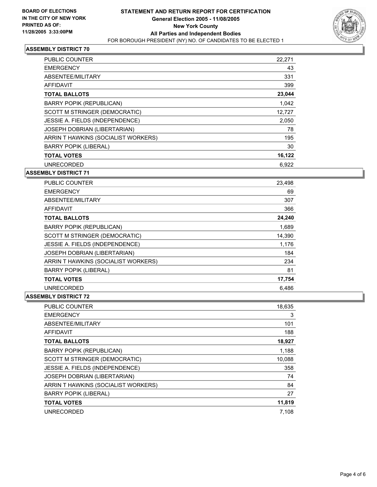

| PUBLIC COUNTER                      | 22,271 |
|-------------------------------------|--------|
| <b>EMERGENCY</b>                    | 43     |
| ABSENTEE/MILITARY                   | 331    |
| AFFIDAVIT                           | 399    |
| <b>TOTAL BALLOTS</b>                | 23,044 |
| <b>BARRY POPIK (REPUBLICAN)</b>     | 1,042  |
| SCOTT M STRINGER (DEMOCRATIC)       | 12,727 |
| JESSIE A. FIELDS (INDEPENDENCE)     | 2,050  |
| JOSEPH DOBRIAN (LIBERTARIAN)        | 78     |
| ARRIN T HAWKINS (SOCIALIST WORKERS) | 195    |
| <b>BARRY POPIK (LIBERAL)</b>        | 30     |
| <b>TOTAL VOTES</b>                  | 16,122 |
| <b>UNRECORDED</b>                   | 6,922  |

#### **ASSEMBLY DISTRICT 71**

| <b>PUBLIC COUNTER</b>               | 23,498 |  |
|-------------------------------------|--------|--|
| <b>EMERGENCY</b>                    | 69     |  |
| ABSENTEE/MILITARY                   | 307    |  |
| AFFIDAVIT                           | 366    |  |
| <b>TOTAL BALLOTS</b>                | 24,240 |  |
| <b>BARRY POPIK (REPUBLICAN)</b>     | 1,689  |  |
| SCOTT M STRINGER (DEMOCRATIC)       | 14,390 |  |
| JESSIE A. FIELDS (INDEPENDENCE)     | 1,176  |  |
| JOSEPH DOBRIAN (LIBERTARIAN)        | 184    |  |
| ARRIN T HAWKINS (SOCIALIST WORKERS) | 234    |  |
| <b>BARRY POPIK (LIBERAL)</b>        | 81     |  |
| <b>TOTAL VOTES</b>                  | 17,754 |  |
| <b>UNRECORDED</b>                   | 6.486  |  |

| <b>PUBLIC COUNTER</b>               | 18,635 |
|-------------------------------------|--------|
| <b>EMERGENCY</b>                    | 3      |
| ABSENTEE/MILITARY                   | 101    |
| AFFIDAVIT                           | 188    |
| <b>TOTAL BALLOTS</b>                | 18,927 |
| <b>BARRY POPIK (REPUBLICAN)</b>     | 1,188  |
| SCOTT M STRINGER (DEMOCRATIC)       | 10,088 |
| JESSIE A. FIELDS (INDEPENDENCE)     | 358    |
| JOSEPH DOBRIAN (LIBERTARIAN)        | 74     |
| ARRIN T HAWKINS (SOCIALIST WORKERS) | 84     |
| <b>BARRY POPIK (LIBERAL)</b>        | 27     |
| <b>TOTAL VOTES</b>                  | 11,819 |
| <b>UNRECORDED</b>                   | 7,108  |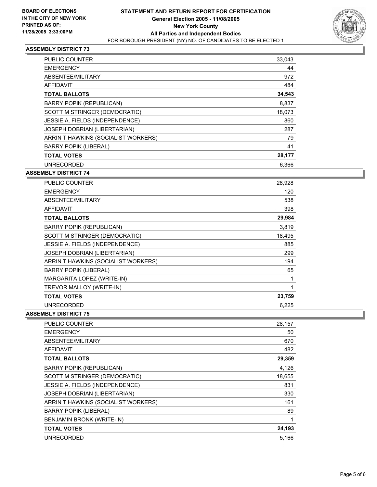

| PUBLIC COUNTER                      | 33,043 |  |
|-------------------------------------|--------|--|
| <b>EMERGENCY</b>                    | 44     |  |
| ABSENTEE/MILITARY                   | 972    |  |
| AFFIDAVIT                           | 484    |  |
| <b>TOTAL BALLOTS</b>                | 34,543 |  |
| <b>BARRY POPIK (REPUBLICAN)</b>     | 8,837  |  |
| SCOTT M STRINGER (DEMOCRATIC)       | 18,073 |  |
| JESSIE A. FIELDS (INDEPENDENCE)     | 860    |  |
| <b>JOSEPH DOBRIAN (LIBERTARIAN)</b> | 287    |  |
| ARRIN T HAWKINS (SOCIALIST WORKERS) | 79     |  |
| <b>BARRY POPIK (LIBERAL)</b>        | 41     |  |
| <b>TOTAL VOTES</b>                  | 28,177 |  |
| <b>UNRECORDED</b>                   | 6,366  |  |

#### **ASSEMBLY DISTRICT 74**

| <b>PUBLIC COUNTER</b>               | 28,928 |
|-------------------------------------|--------|
| <b>EMERGENCY</b>                    | 120    |
| ABSENTEE/MILITARY                   | 538    |
| <b>AFFIDAVIT</b>                    | 398    |
| <b>TOTAL BALLOTS</b>                | 29,984 |
| <b>BARRY POPIK (REPUBLICAN)</b>     | 3,819  |
| SCOTT M STRINGER (DEMOCRATIC)       | 18,495 |
| JESSIE A. FIELDS (INDEPENDENCE)     | 885    |
| JOSEPH DOBRIAN (LIBERTARIAN)        | 299    |
| ARRIN T HAWKINS (SOCIALIST WORKERS) | 194    |
| <b>BARRY POPIK (LIBERAL)</b>        | 65     |
| MARGARITA LOPEZ (WRITE-IN)          |        |
| TREVOR MALLOY (WRITE-IN)            |        |
| <b>TOTAL VOTES</b>                  | 23,759 |
| <b>UNRECORDED</b>                   | 6,225  |

| <b>PUBLIC COUNTER</b>               | 28,157 |
|-------------------------------------|--------|
| <b>EMERGENCY</b>                    | 50     |
| ABSENTEE/MILITARY                   | 670    |
| <b>AFFIDAVIT</b>                    | 482    |
| <b>TOTAL BALLOTS</b>                | 29,359 |
| <b>BARRY POPIK (REPUBLICAN)</b>     | 4,126  |
| SCOTT M STRINGER (DEMOCRATIC)       | 18,655 |
| JESSIE A. FIELDS (INDEPENDENCE)     | 831    |
| <b>JOSEPH DOBRIAN (LIBERTARIAN)</b> | 330    |
| ARRIN T HAWKINS (SOCIALIST WORKERS) | 161    |
| <b>BARRY POPIK (LIBERAL)</b>        | 89     |
| BENJAMIN BRONK (WRITE-IN)           |        |
| <b>TOTAL VOTES</b>                  | 24,193 |
| <b>UNRECORDED</b>                   | 5,166  |